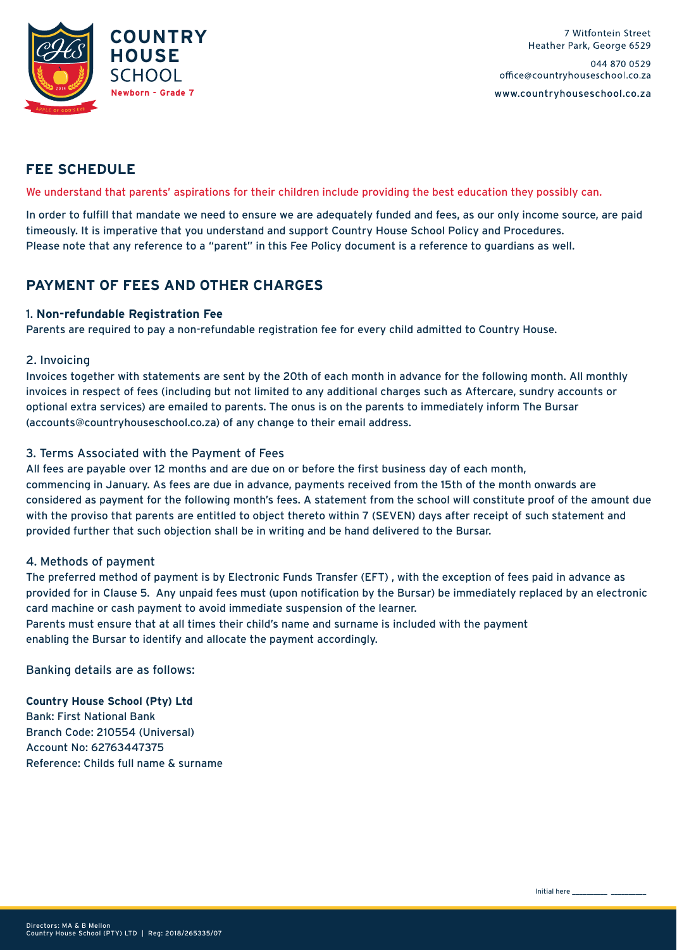

### **FEE SCHEDULE**

We understand that parents' aspirations for their children include providing the best education they possibly can.

In order to fulfill that mandate we need to ensure we are adequately funded and fees, as our only income source, are paid timeously. It is imperative that you understand and support Country House School Policy and Procedures. Please note that any reference to a "parent" in this Fee Policy document is a reference to guardians as well.

## **PAYMENT OF FEES AND OTHER CHARGES**

#### 1. **Non-refundable Registration Fee**

Parents are required to pay a non-refundable registration fee for every child admitted to Country House.

#### 2. Invoicing

Invoices together with statements are sent by the 20th of each month in advance for the following month. All monthly invoices in respect of fees (including but not limited to any additional charges such as Aftercare, sundry accounts or optional extra services) are emailed to parents. The onus is on the parents to immediately inform The Bursar (accounts@countryhouseschool.co.za) of any change to their email address.

#### 3. Terms Associated with the Payment of Fees

All fees are payable over 12 months and are due on or before the first business day of each month, commencing in January. As fees are due in advance, payments received from the 15th of the month onwards are considered as payment for the following month's fees. A statement from the school will constitute proof of the amount due with the proviso that parents are entitled to object thereto within 7 (SEVEN) days after receipt of such statement and provided further that such objection shall be in writing and be hand delivered to the Bursar.

#### 4. Methods of payment

The preferred method of payment is by Electronic Funds Transfer (EFT) , with the exception of fees paid in advance as provided for in Clause 5. Any unpaid fees must (upon notification by the Bursar) be immediately replaced by an electronic card machine or cash payment to avoid immediate suspension of the learner.

Parents must ensure that at all times their child's name and surname is included with the payment enabling the Bursar to identify and allocate the payment accordingly.

Banking details are as follows:

**Country House School (Pty) Ltd** Bank: First National Bank Branch Code: 210554 (Universal) Account No: 62763447375 Reference: Childs full name & surname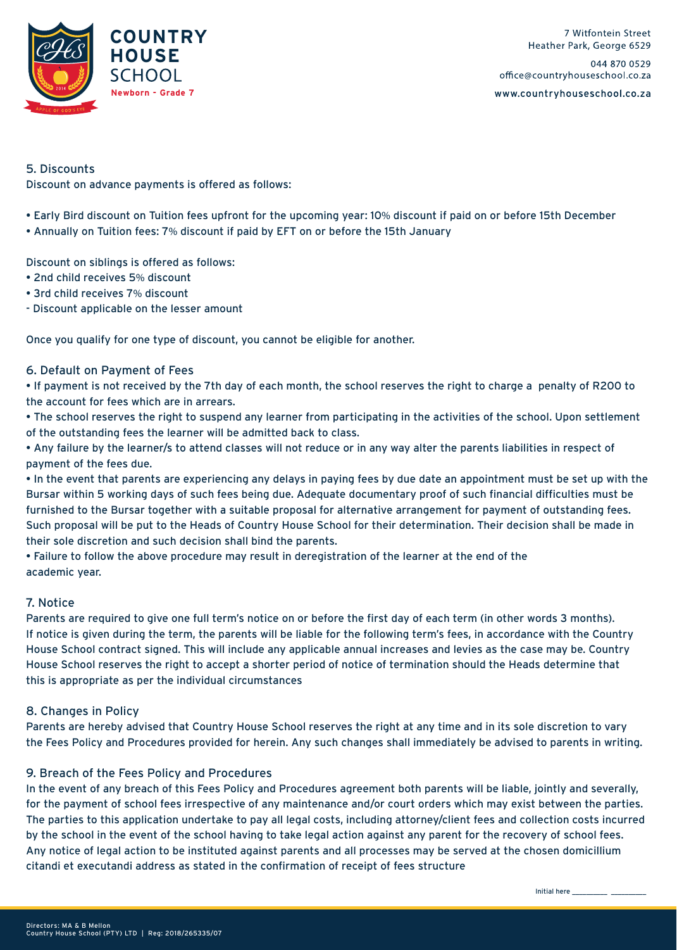

#### 5. Discounts

Discount on advance payments is offered as follows:

• Early Bird discount on Tuition fees upfront for the upcoming year: 10% discount if paid on or before 15th December

• Annually on Tuition fees: 7% discount if paid by EFT on or before the 15th January

Discount on siblings is offered as follows:

- 2nd child receives 5% discount
- 3rd child receives 7% discount
- Discount applicable on the lesser amount

Once you qualify for one type of discount, you cannot be eligible for another.

#### 6. Default on Payment of Fees

• If payment is not received by the 7th day of each month, the school reserves the right to charge a penalty of R200 to the account for fees which are in arrears.

• The school reserves the right to suspend any learner from participating in the activities of the school. Upon settlement of the outstanding fees the learner will be admitted back to class.

• Any failure by the learner/s to attend classes will not reduce or in any way alter the parents liabilities in respect of payment of the fees due.

• In the event that parents are experiencing any delays in paying fees by due date an appointment must be set up with the Bursar within 5 working days of such fees being due. Adequate documentary proof of such financial difficulties must be furnished to the Bursar together with a suitable proposal for alternative arrangement for payment of outstanding fees. Such proposal will be put to the Heads of Country House School for their determination. Their decision shall be made in their sole discretion and such decision shall bind the parents.

• Failure to follow the above procedure may result in deregistration of the learner at the end of the academic year.

#### 7. Notice

Parents are required to give one full term's notice on or before the first day of each term (in other words 3 months). If notice is given during the term, the parents will be liable for the following term's fees, in accordance with the Country House School contract signed. This will include any applicable annual increases and levies as the case may be. Country House School reserves the right to accept a shorter period of notice of termination should the Heads determine that this is appropriate as per the individual circumstances

#### 8. Changes in Policy

Parents are hereby advised that Country House School reserves the right at any time and in its sole discretion to vary the Fees Policy and Procedures provided for herein. Any such changes shall immediately be advised to parents in writing.

### 9. Breach of the Fees Policy and Procedures

In the event of any breach of this Fees Policy and Procedures agreement both parents will be liable, jointly and severally, for the payment of school fees irrespective of any maintenance and/or court orders which may exist between the parties. The parties to this application undertake to pay all legal costs, including attorney/client fees and collection costs incurred by the school in the event of the school having to take legal action against any parent for the recovery of school fees. Any notice of legal action to be instituted against parents and all processes may be served at the chosen domicillium citandi et executandi address as stated in the confirmation of receipt of fees structure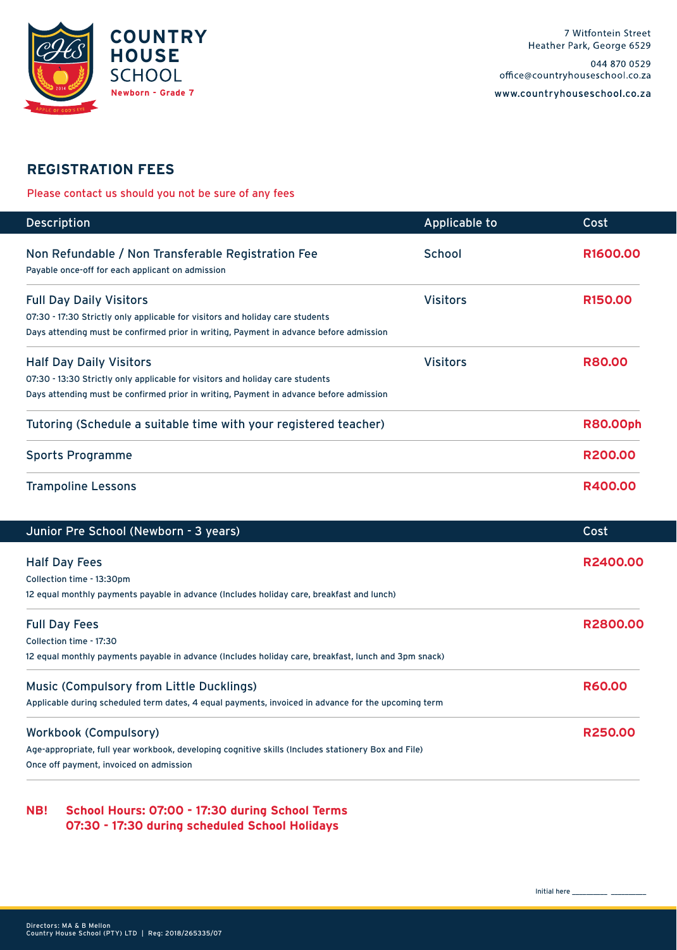

### **REGISTRATION FEES**

Please contact us should you not be sure of any fees

| <b>Description</b>                                                                                     | Applicable to   | Cost                |
|--------------------------------------------------------------------------------------------------------|-----------------|---------------------|
| Non Refundable / Non Transferable Registration Fee<br>Payable once-off for each applicant on admission | <b>School</b>   | <b>R1600.00</b>     |
| <b>Full Day Daily Visitors</b>                                                                         | <b>Visitors</b> | R <sub>150.00</sub> |
| 07:30 - 17:30 Strictly only applicable for visitors and holiday care students                          |                 |                     |
| Days attending must be confirmed prior in writing, Payment in advance before admission                 |                 |                     |
| <b>Half Day Daily Visitors</b>                                                                         | <b>Visitors</b> | <b>R80.00</b>       |
| 07:30 - 13:30 Strictly only applicable for visitors and holiday care students                          |                 |                     |
| Days attending must be confirmed prior in writing, Payment in advance before admission                 |                 |                     |
| Tutoring (Schedule a suitable time with your registered teacher)                                       |                 | <b>R80.00ph</b>     |
| <b>Sports Programme</b>                                                                                |                 | R200.00             |
| <b>Trampoline Lessons</b>                                                                              |                 | R400.00             |

| Junior Pre School (Newborn - 3 years)                                                                | Cost          |
|------------------------------------------------------------------------------------------------------|---------------|
| <b>Half Day Fees</b>                                                                                 | R2400.00      |
| Collection time - 13:30pm                                                                            |               |
| 12 equal monthly payments payable in advance (Includes holiday care, breakfast and lunch)            |               |
| <b>Full Day Fees</b>                                                                                 | R2800.00      |
| Collection time - 17:30                                                                              |               |
| 12 equal monthly payments payable in advance (Includes holiday care, breakfast, lunch and 3pm snack) |               |
| <b>Music (Compulsory from Little Ducklings)</b>                                                      | <b>R60.00</b> |
| Applicable during scheduled term dates, 4 equal payments, invoiced in advance for the upcoming term  |               |
| <b>Workbook (Compulsory)</b>                                                                         | R250.00       |
| Age-appropriate, full year workbook, developing cognitive skills (Includes stationery Box and File)  |               |
| Once off payment, invoiced on admission                                                              |               |
|                                                                                                      |               |

**NB! School Hours: 07:00 - 17:30 during School Terms 07:30 - 17:30 during scheduled School Holidays**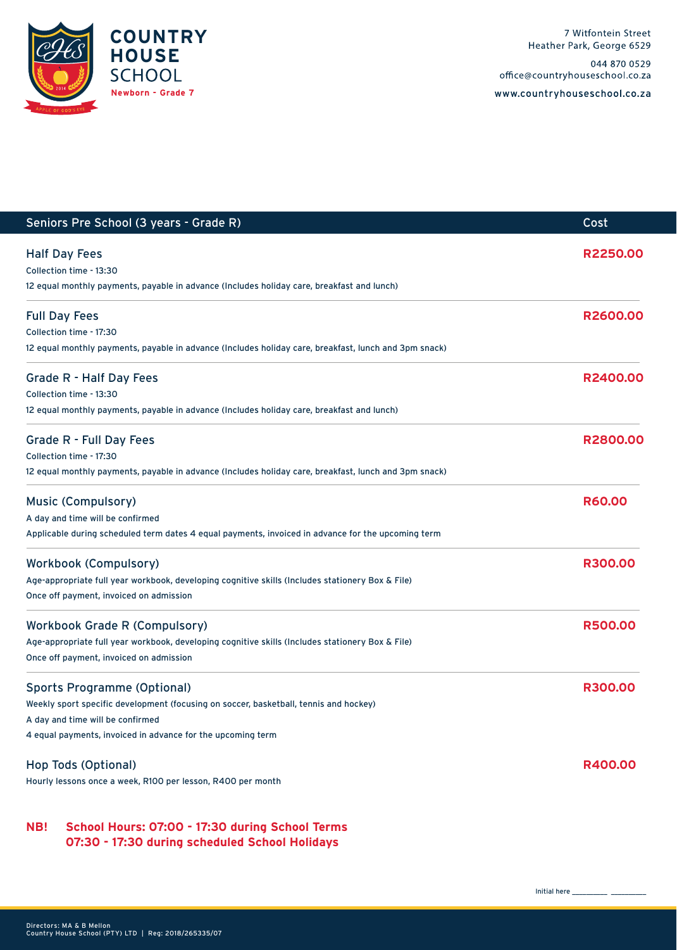

www.countryhouseschool.co.za

| Seniors Pre School (3 years - Grade R)                                                                | Cost           |
|-------------------------------------------------------------------------------------------------------|----------------|
| <b>Half Day Fees</b>                                                                                  | R2250.00       |
| Collection time - 13:30                                                                               |                |
| 12 equal monthly payments, payable in advance (Includes holiday care, breakfast and lunch)            |                |
| <b>Full Day Fees</b>                                                                                  | R2600.00       |
| Collection time - 17:30                                                                               |                |
| 12 equal monthly payments, payable in advance (Includes holiday care, breakfast, lunch and 3pm snack) |                |
| <b>Grade R - Half Day Fees</b>                                                                        | R2400.00       |
| Collection time - 13:30                                                                               |                |
| 12 equal monthly payments, payable in advance (Includes holiday care, breakfast and lunch)            |                |
| Grade R - Full Day Fees                                                                               | R2800.00       |
| Collection time - 17:30                                                                               |                |
| 12 equal monthly payments, payable in advance (Includes holiday care, breakfast, lunch and 3pm snack) |                |
| <b>Music (Compulsory)</b>                                                                             | <b>R60.00</b>  |
| A day and time will be confirmed                                                                      |                |
| Applicable during scheduled term dates 4 equal payments, invoiced in advance for the upcoming term    |                |
| <b>Workbook (Compulsory)</b>                                                                          | <b>R300.00</b> |
| Age-appropriate full year workbook, developing cognitive skills (Includes stationery Box & File)      |                |
| Once off payment, invoiced on admission                                                               |                |
| <b>Workbook Grade R (Compulsory)</b>                                                                  | <b>R500.00</b> |
| Age-appropriate full year workbook, developing cognitive skills (Includes stationery Box & File)      |                |
| Once off payment, invoiced on admission                                                               |                |
| <b>Sports Programme (Optional)</b>                                                                    | <b>R300.00</b> |
| Weekly sport specific development (focusing on soccer, basketball, tennis and hockey)                 |                |
| A day and time will be confirmed                                                                      |                |
| 4 equal payments, invoiced in advance for the upcoming term                                           |                |
| Hop Tods (Optional)                                                                                   | R400.00        |
| Hourly lessons once a week, R100 per lesson, R400 per month                                           |                |
|                                                                                                       |                |

### **NB! School Hours: 07:00 - 17:30 during School Terms 07:30 - 17:30 during scheduled School Holidays**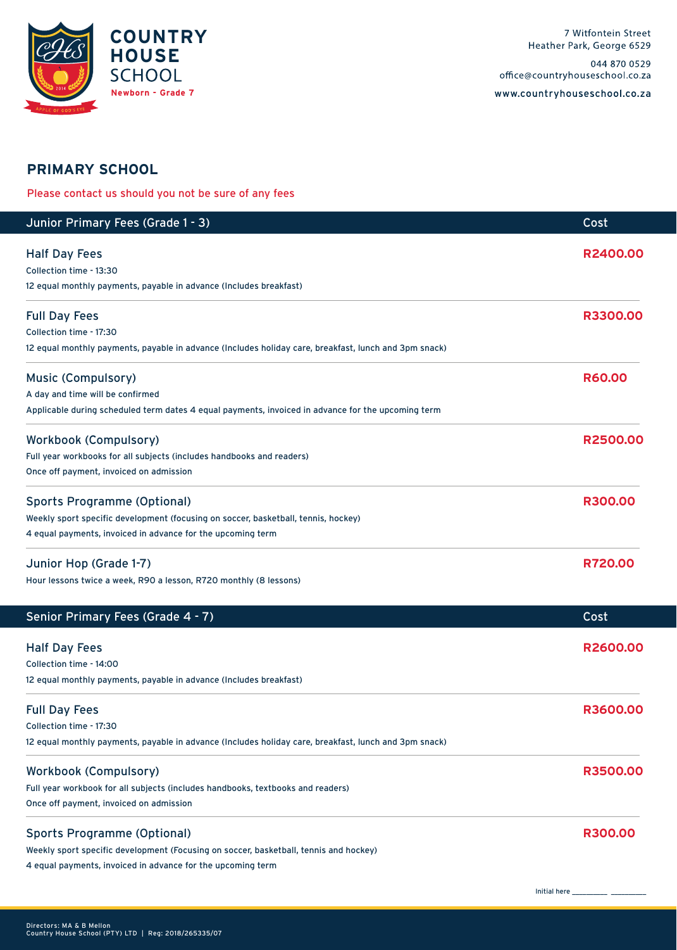

## **PRIMARY SCHOOL**

Please contact us should you not be sure of any fees

| Junior Primary Fees (Grade 1 - 3)                                                                     | Cost          |
|-------------------------------------------------------------------------------------------------------|---------------|
| <b>Half Day Fees</b>                                                                                  | R2400.00      |
| Collection time - 13:30                                                                               |               |
| 12 equal monthly payments, payable in advance (Includes breakfast)                                    |               |
| <b>Full Day Fees</b>                                                                                  | R3300.00      |
| Collection time - 17:30                                                                               |               |
| 12 equal monthly payments, payable in advance (Includes holiday care, breakfast, lunch and 3pm snack) |               |
| <b>Music (Compulsory)</b>                                                                             | <b>R60.00</b> |
| A day and time will be confirmed                                                                      |               |
| Applicable during scheduled term dates 4 equal payments, invoiced in advance for the upcoming term    |               |
| <b>Workbook (Compulsory)</b>                                                                          | R2500.00      |
| Full year workbooks for all subjects (includes handbooks and readers)                                 |               |
| Once off payment, invoiced on admission                                                               |               |
| <b>Sports Programme (Optional)</b>                                                                    | R300.00       |
| Weekly sport specific development (focusing on soccer, basketball, tennis, hockey)                    |               |
| 4 equal payments, invoiced in advance for the upcoming term                                           |               |
| Junior Hop (Grade 1-7)                                                                                | R720.00       |
| Hour lessons twice a week, R90 a lesson, R720 monthly (8 lessons)                                     |               |
| Senior Primary Fees (Grade 4 - 7)                                                                     | Cost          |
| <b>Half Day Fees</b>                                                                                  | R2600.00      |
| Collection time - 14:00                                                                               |               |
| 12 equal monthly payments, payable in advance (Includes breakfast)                                    |               |
| <b>Full Day Fees</b>                                                                                  | R3600.00      |
| Collection time - 17:30                                                                               |               |
| 12 equal monthly payments, payable in advance (Includes holiday care, breakfast, lunch and 3pm snack) |               |
| <b>Workbook (Compulsory)</b>                                                                          | R3500.00      |
| Full year workbook for all subjects (includes handbooks, textbooks and readers)                       |               |
| Once off payment, invoiced on admission                                                               |               |
| <b>Sports Programme (Optional)</b>                                                                    | R300.00       |
| Weekly sport specific development (Focusing on soccer, basketball, tennis and hockey)                 |               |
| 4 equal payments, invoiced in advance for the upcoming term                                           |               |